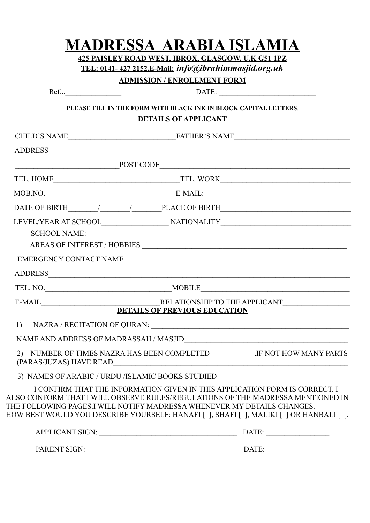|                       | <b>MADRESSA ARABIA ISLAMIA</b><br>425 PAISLEY ROAD WEST, IBROX, GLASGOW, U.K G51 1PZ<br>TEL: 0141-427 2152, E-Mail: info@ibrahimmasjid.org.uk<br><b>ADMISSION / ENROLEMENT FORM</b>                                                                                                                                                                                                                                                                                                                                                                                                                                            |  |
|-----------------------|--------------------------------------------------------------------------------------------------------------------------------------------------------------------------------------------------------------------------------------------------------------------------------------------------------------------------------------------------------------------------------------------------------------------------------------------------------------------------------------------------------------------------------------------------------------------------------------------------------------------------------|--|
| $Ref$ $\qquad \qquad$ |                                                                                                                                                                                                                                                                                                                                                                                                                                                                                                                                                                                                                                |  |
|                       | PLEASE FILL IN THE FORM WITH BLACK INK IN BLOCK CAPITAL LETTERS.<br><b>DETAILS OF APPLICANT</b>                                                                                                                                                                                                                                                                                                                                                                                                                                                                                                                                |  |
|                       |                                                                                                                                                                                                                                                                                                                                                                                                                                                                                                                                                                                                                                |  |
|                       |                                                                                                                                                                                                                                                                                                                                                                                                                                                                                                                                                                                                                                |  |
|                       | POST CODE                                                                                                                                                                                                                                                                                                                                                                                                                                                                                                                                                                                                                      |  |
|                       |                                                                                                                                                                                                                                                                                                                                                                                                                                                                                                                                                                                                                                |  |
|                       | $\text{MOB.NO.} \underline{\hspace{2cm}} \underline{\hspace{2cm}} \underline{\hspace{2cm}} \underline{\hspace{2cm}} \underline{\hspace{2cm}} \underline{\hspace{2cm}} \underline{\hspace{2cm}} \underline{\hspace{2cm}} \underline{\hspace{2cm}} \underline{\hspace{2cm}} \underline{\hspace{2cm}} \underline{\hspace{2cm}} \underline{\hspace{2cm}} \underline{\hspace{2cm}} \underline{\hspace{2cm}} \underline{\hspace{2cm}} \underline{\hspace{2cm}} \underline{\hspace{2cm}} \underline{\hspace{2cm}} \underline{\hspace{2cm}} \underline{\hspace{2cm}} \underline{\hspace{2cm}} \underline{\hspace{2cm}} \underline{\hs$ |  |
|                       |                                                                                                                                                                                                                                                                                                                                                                                                                                                                                                                                                                                                                                |  |
|                       | SCHOOL NAME:<br>EMERGENCY CONTACT NAME                                                                                                                                                                                                                                                                                                                                                                                                                                                                                                                                                                                         |  |
|                       |                                                                                                                                                                                                                                                                                                                                                                                                                                                                                                                                                                                                                                |  |
|                       |                                                                                                                                                                                                                                                                                                                                                                                                                                                                                                                                                                                                                                |  |
| E-MAIL                | RELATIONSHIP TO THE APPLICANT DETAILS OF PREVIOUS EDUCATION                                                                                                                                                                                                                                                                                                                                                                                                                                                                                                                                                                    |  |
|                       |                                                                                                                                                                                                                                                                                                                                                                                                                                                                                                                                                                                                                                |  |
| 1)                    |                                                                                                                                                                                                                                                                                                                                                                                                                                                                                                                                                                                                                                |  |
|                       | $\label{eq:naM} \begin{minipage}[c]{0.9\linewidth} \textbf{NAME AND ADDRESS OF MADRASSAH} \end{minipage} \begin{minipage}[c]{0.9\linewidth} \textbf{MAND} \end{minipage} \begin{minipage}[c]{0.9\linewidth} \textbf{MAND} \end{minipage} \begin{minipage}[c]{0.9\linewidth} \textbf{MAND} \end{minipage} \begin{minipage}[c]{0.9\linewidth} \textbf{NAME AND ADDRESS OF MADRASSAH} \end{minipage} \begin{minipage}[c]{0.9\linewidth} \textbf{NAME AND ADDRESS OF MADRASSAH} \end{minipage} \begin{minipage}[c]{0.$                                                                                                             |  |
|                       | 2) NUMBER OF TIMES NAZRA HAS BEEN COMPLETED___________.IF NOT HOW MANY PARTS                                                                                                                                                                                                                                                                                                                                                                                                                                                                                                                                                   |  |
|                       | 3) NAMES OF ARABIC / URDU /ISLAMIC BOOKS STUDIED_________________________________                                                                                                                                                                                                                                                                                                                                                                                                                                                                                                                                              |  |
|                       | I CONFIRM THAT THE INFORMATION GIVEN IN THIS APPLICATION FORM IS CORRECT. I<br>ALSO CONFORM THAT I WILL OBSERVE RULES/REGULATIONS OF THE MADRESSA MENTIONED IN<br>THE FOLLOWING PAGES.I WILL NOTIFY MADRESSA WHENEVER MY DETAILS CHANGES.<br>HOW BEST WOULD YOU DESCRIBE YOURSELF: HANAFI [ ], SHAFI [ ], MALIKI [ ] OR HANBALI [ ].                                                                                                                                                                                                                                                                                           |  |
|                       |                                                                                                                                                                                                                                                                                                                                                                                                                                                                                                                                                                                                                                |  |
|                       | PARENT SIGN: DATE:                                                                                                                                                                                                                                                                                                                                                                                                                                                                                                                                                                                                             |  |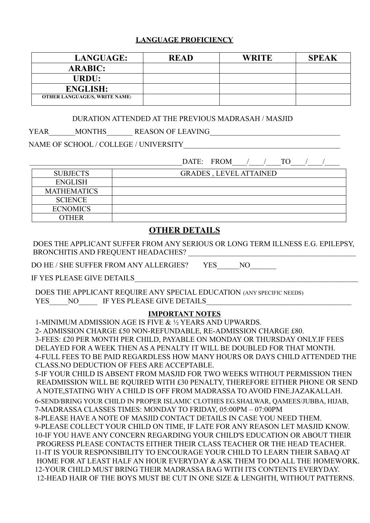#### **LANGUAGE PROFICIENCY**

| <b>LANGUAGE:</b>                     | <b>READ</b> | <b>WRITE</b> | <b>SPEAK</b> |
|--------------------------------------|-------------|--------------|--------------|
| <b>ARABIC:</b>                       |             |              |              |
| URDU:                                |             |              |              |
| <b>ENGLISH:</b>                      |             |              |              |
| <b>OTHER LANGUAGE/S, WRITE NAME:</b> |             |              |              |

#### DURATION ATTENDED AT THE PREVIOUS MADRASAH / MASJID

YEAR\_\_\_\_\_\_\_MONTHS\_\_\_\_\_\_\_ REASON OF LEAVING\_\_\_\_\_\_\_\_\_\_\_\_\_\_\_\_\_\_\_\_\_\_\_\_\_\_\_\_\_\_\_\_\_\_\_

NAME OF SCHOOL / COLLEGE / UNIVERSITY

DATE: FROM / / TO / /

| <b>SUBJECTS</b>    | <b>GRADES, LEVEL ATTAINED</b> |
|--------------------|-------------------------------|
| <b>ENGLISH</b>     |                               |
| <b>MATHEMATICS</b> |                               |
| <b>SCIENCE</b>     |                               |
| <b>ECNOMICS</b>    |                               |
| OTHER              |                               |

#### **OTHER DETAILS**

 DOES THE APPLICANT SUFFER FROM ANY SERIOUS OR LONG TERM ILLNESS E.G. EPILEPSY, BRONCHITIS AND FREQUENT HEADACHES? \_\_\_\_\_\_\_\_\_\_\_\_\_\_\_\_\_\_\_\_\_\_\_\_\_\_\_\_\_\_\_\_\_\_\_\_\_\_\_\_\_\_\_\_\_

DO HE / SHE SUFFER FROM ANY ALLERGIES? YES NO

IF YES PLEASE GIVE DETAILS

DOES THE APPLICANT REQUIRE ANY SPECIAL EDUCATION (ANY SPECIFIC NEEDS) YES\_\_\_\_\_NO\_\_\_\_\_\_ IF YES PLEASE GIVE DETAILS\_\_\_

#### **IMPORTANT NOTES**

1-MINIMUM ADMISSION AGE IS FIVE & ½ YEARS AND UPWARDS. 2- ADMISSION CHARGE £50 NON-REFUNDABLE, RE-ADMISSION CHARGE £80. 3-FEES: £20 PER MONTH PER CHILD, PAYABLE ON MONDAY OR THURSDAY ONLY.IF FEES DELAYED FOR A WEEK THEN AS A PENALTY IT WILL BE DOUBLED FOR THAT MONTH. 4-FULL FEES TO BE PAID REGARDLESS HOW MANY HOURS OR DAYS CHILD ATTENDED THE CLASS.NO DEDUCTION OF FEES ARE ACCEPTABLE. 5-IF YOUR CHILD IS ABSENT FROM MASJID FOR TWO WEEKS WITHOUT PERMISSION THEN READMISSION WILL BE RQUIRED WITH £30 PENALTY, THEREFORE EITHER PHONE OR SEND A NOTE,STATING WHY A CHILD IS OFF FROM MADRASSA TO AVOID FINE.JAZAKALLAH. 6-SEND/BRING YOUR CHILD IN PROPER ISLAMIC CLOTHES EG.SHALWAR, QAMEES/JUBBA, HIJAB, 7-MADRASSA CLASSES TIMES: MONDAY TO FRIDAY, 05:00PM – 07:00PM 8-PLEASE HAVE A NOTE OF MASJID CONTACT DETAILS IN CASE YOU NEED THEM. 9-PLEASE COLLECT YOUR CHILD ON TIME, IF LATE FOR ANY REASON LET MASJID KNOW. 10-IF YOU HAVE ANY CONCERN REGARDING YOUR CHILD'S EDUCATION OR ABOUT THEIR PROGRESS PLEASE CONTACTS EITHER THEIR CLASS TEACHER OR THE HEAD TEACHER. 11-IT IS YOUR RESPONSIBILITY TO ENCOURAGE YOUR CHILD TO LEARN THEIR SABAQ AT HOME FOR AT LEAST HALF AN HOUR EVERYDAY & ASK THEM TO DO ALL THE HOMEWORK. 12-YOUR CHILD MUST BRING THEIR MADRASSA BAG WITH ITS CONTENTS EVERYDAY. 12-HEAD HAIR OF THE BOYS MUST BE CUT IN ONE SIZE & LENGHTH, WITHOUT PATTERNS.